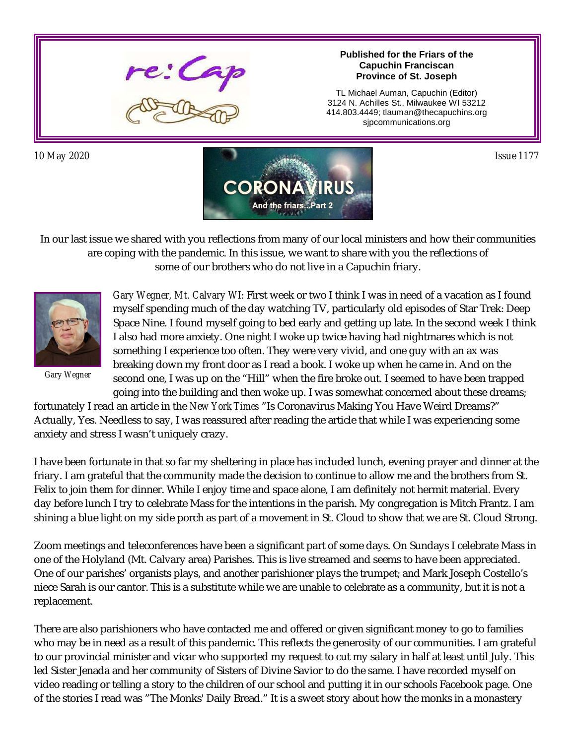

**Published for the Friars of the Capuchin Franciscan Province of St. Joseph**

TL Michael Auman, Capuchin (Editor) 3124 N. Achilles St., Milwaukee WI 53212 414.803.4449; tlauman@thecapuchins.org sjpcommunications.org



In our last issue we shared with you reflections from many of our local ministers and how their communities are coping with the pandemic. In this issue, we want to share with you the reflections of some of our brothers who do not live in a Capuchin friary.



*Gary Wegner*

*Gary Wegner, Mt. Calvary WI:* First week or two I think I was in need of a vacation as I found myself spending much of the day watching TV, particularly old episodes of Star Trek: Deep Space Nine. I found myself going to bed early and getting up late. In the second week I think I also had more anxiety. One night I woke up twice having had nightmares which is not something I experience too often. They were very vivid, and one guy with an ax was breaking down my front door as I read a book. I woke up when he came in. And on the second one, I was up on the "Hill" when the fire broke out. I seemed to have been trapped going into the building and then woke up. I was somewhat concerned about these dreams;

fortunately I read an article in the *New York Times* "Is Coronavirus Making You Have Weird Dreams?" Actually, Yes. Needless to say, I was reassured after reading the article that while I was experiencing some anxiety and stress I wasn't uniquely crazy.

I have been fortunate in that so far my sheltering in place has included lunch, evening prayer and dinner at the friary. I am grateful that the community made the decision to continue to allow me and the brothers from St. Felix to join them for dinner. While I enjoy time and space alone, I am definitely not hermit material. Every day before lunch I try to celebrate Mass for the intentions in the parish. My congregation is Mitch Frantz. I am shining a blue light on my side porch as part of a movement in St. Cloud to show that we are St. Cloud Strong.

Zoom meetings and teleconferences have been a significant part of some days. On Sundays I celebrate Mass in one of the Holyland (Mt. Calvary area) Parishes. This is live streamed and seems to have been appreciated. One of our parishes' organists plays, and another parishioner plays the trumpet; and Mark Joseph Costello's niece Sarah is our cantor. This is a substitute while we are unable to celebrate as a community, but it is not a replacement.

There are also parishioners who have contacted me and offered or given significant money to go to families who may be in need as a result of this pandemic. This reflects the generosity of our communities. I am grateful to our provincial minister and vicar who supported my request to cut my salary in half at least until July. This led Sister Jenada and her community of Sisters of Divine Savior to do the same. I have recorded myself on video reading or telling a story to the children of our school and putting it in our schools Facebook page. One of the stories I read was "The Monks' Daily Bread." It is a sweet story about how the monks in a monastery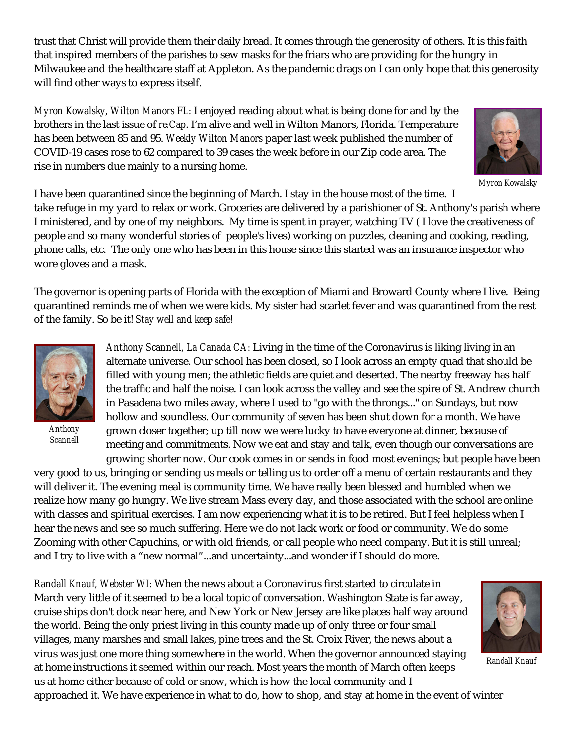trust that Christ will provide them their daily bread. It comes through the generosity of others. It is this faith that inspired members of the parishes to sew masks for the friars who are providing for the hungry in Milwaukee and the healthcare staff at Appleton. As the pandemic drags on I can only hope that this generosity will find other ways to express itself.

*Myron Kowalsky, Wilton Manors FL:* I enjoyed reading about what is being done for and by the brothers in the last issue of *re:Cap*. I'm alive and well in Wilton Manors, Florida. Temperature has been between 85 and 95. *Weekly Wilton Manors* paper last week published the number of COVID-19 cases rose to 62 compared to 39 cases the week before in our Zip code area. The rise in numbers due mainly to a nursing home.



*Myron Kowalsky*

I have been quarantined since the beginning of March. I stay in the house most of the time. I take refuge in my yard to relax or work. Groceries are delivered by a parishioner of St. Anthony's parish where I ministered, and by one of my neighbors. My time is spent in prayer, watching TV ( I love the creativeness of people and so many wonderful stories of people's lives) working on puzzles, cleaning and cooking, reading, phone calls, etc. The only one who has been in this house since this started was an insurance inspector who wore gloves and a mask.

The governor is opening parts of Florida with the exception of Miami and Broward County where I live. Being quarantined reminds me of when we were kids. My sister had scarlet fever and was quarantined from the rest of the family. So be it! *Stay well and keep safe!*



*Anthony Scannell*

*Anthony Scannell, La Canada CA:* Living in the time of the Coronavirus is liking living in an alternate universe. Our school has been closed, so I look across an empty quad that should be filled with young men; the athletic fields are quiet and deserted. The nearby freeway has half the traffic and half the noise. I can look across the valley and see the spire of St. Andrew church in Pasadena two miles away, where I used to "go with the throngs..." on Sundays, but now hollow and soundless. Our community of seven has been shut down for a month. We have grown closer together; up till now we were lucky to have everyone at dinner, because of meeting and commitments. Now we eat and stay and talk, even though our conversations are growing shorter now. Our cook comes in or sends in food most evenings; but people have been

very good to us, bringing or sending us meals or telling us to order off a menu of certain restaurants and they will deliver it. The evening meal is community time. We have really been blessed and humbled when we realize how many go hungry. We live stream Mass every day, and those associated with the school are online with classes and spiritual exercises. I am now experiencing what it is to be retired. But I feel helpless when I hear the news and see so much suffering. Here we do not lack work or food or community. We do some Zooming with other Capuchins, or with old friends, or call people who need company. But it is still unreal; and I try to live with a "new normal"...and uncertainty...and wonder if I should do more.

*Randall Knauf, Webster WI:* When the news about a Coronavirus first started to circulate in March very little of it seemed to be a local topic of conversation. Washington State is far away, cruise ships don't dock near here, and New York or New Jersey are like places half way around the world. Being the only priest living in this county made up of only three or four small villages, many marshes and small lakes, pine trees and the St. Croix River, the news about a virus was just one more thing somewhere in the world. When the governor announced staying at home instructions it seemed within our reach. Most years the month of March often keeps us at home either because of cold or snow, which is how the local community and I approached it. We have experience in what to do, how to shop, and stay at home in the event of winter



*Randall Knauf*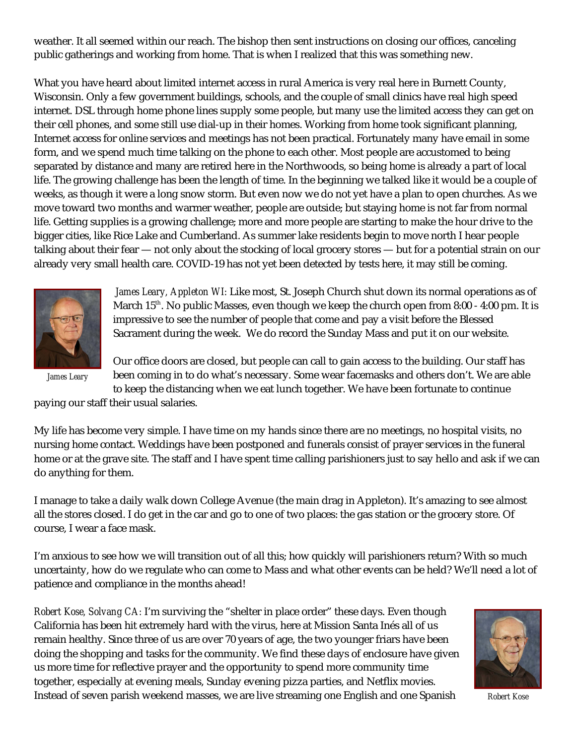weather. It all seemed within our reach. The bishop then sent instructions on closing our offices, canceling public gatherings and working from home. That is when I realized that this was something new.

What you have heard about limited internet access in rural America is very real here in Burnett County, Wisconsin. Only a few government buildings, schools, and the couple of small clinics have real high speed internet. DSL through home phone lines supply some people, but many use the limited access they can get on their cell phones, and some still use dial-up in their homes. Working from home took significant planning, Internet access for online services and meetings has not been practical. Fortunately many have email in some form, and we spend much time talking on the phone to each other. Most people are accustomed to being separated by distance and many are retired here in the Northwoods, so being home is already a part of local life. The growing challenge has been the length of time. In the beginning we talked like it would be a couple of weeks, as though it were a long snow storm. But even now we do not yet have a plan to open churches. As we move toward two months and warmer weather, people are outside; but staying home is not far from normal life. Getting supplies is a growing challenge; more and more people are starting to make the hour drive to the bigger cities, like Rice Lake and Cumberland. As summer lake residents begin to move north I hear people talking about their fear — not only about the stocking of local grocery stores — but for a potential strain on our already very small health care. COVID-19 has not yet been detected by tests here, it may still be coming.



*James Leary, Appleton WI:* Like most, St. Joseph Church shut down its normal operations as of March 15<sup>th</sup>. No public Masses, even though we keep the church open from 8:00 - 4:00 pm. It is impressive to see the number of people that come and pay a visit before the Blessed Sacrament during the week. We do record the Sunday Mass and put it on our website.

*James Leary*

Our office doors are closed, but people can call to gain access to the building. Our staff has been coming in to do what's necessary. Some wear facemasks and others don't. We are able to keep the distancing when we eat lunch together. We have been fortunate to continue

paying our staff their usual salaries.

My life has become very simple. I have time on my hands since there are no meetings, no hospital visits, no nursing home contact. Weddings have been postponed and funerals consist of prayer services in the funeral home or at the grave site. The staff and I have spent time calling parishioners just to say hello and ask if we can do anything for them.

I manage to take a daily walk down College Avenue (the main drag in Appleton). It's amazing to see almost all the stores closed. I do get in the car and go to one of two places: the gas station or the grocery store. Of course, I wear a face mask.

I'm anxious to see how we will transition out of all this; how quickly will parishioners return? With so much uncertainty, how do we regulate who can come to Mass and what other events can be held? We'll need a lot of patience and compliance in the months ahead!

*Robert Kose, Solvang CA:* I'm surviving the "shelter in place order" these days. Even though California has been hit extremely hard with the virus, here at Mission Santa Inés all of us remain healthy. Since three of us are over 70 years of age, the two younger friars have been doing the shopping and tasks for the community. We find these days of enclosure have given us more time for reflective prayer and the opportunity to spend more community time together, especially at evening meals, Sunday evening pizza parties, and Netflix movies. Instead of seven parish weekend masses, we are live streaming one English and one Spanish



*Robert Kose*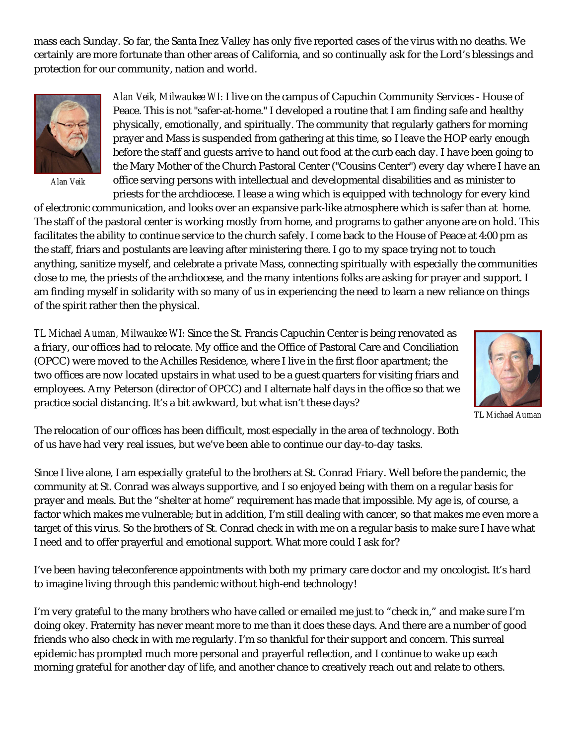mass each Sunday. So far, the Santa Inez Valley has only five reported cases of the virus with no deaths. We certainly are more fortunate than other areas of California, and so continually ask for the Lord's blessings and protection for our community, nation and world.



*Alan Veik*

*Alan Veik, Milwaukee WI:* I live on the campus of Capuchin Community Services - House of Peace. This is not "safer-at-home." I developed a routine that I am finding safe and healthy physically, emotionally, and spiritually. The community that regularly gathers for morning prayer and Mass is suspended from gathering at this time, so I leave the HOP early enough before the staff and guests arrive to hand out food at the curb each day. I have been going to the Mary Mother of the Church Pastoral Center ("Cousins Center") every day where I have an office serving persons with intellectual and developmental disabilities and as minister to priests for the archdiocese. I lease a wing which is equipped with technology for every kind

of electronic communication, and looks over an expansive park-like atmosphere which is safer than at home. The staff of the pastoral center is working mostly from home, and programs to gather anyone are on hold. This facilitates the ability to continue service to the church safely. I come back to the House of Peace at 4:00 pm as the staff, friars and postulants are leaving after ministering there. I go to my space trying not to touch anything, sanitize myself, and celebrate a private Mass, connecting spiritually with especially the communities close to me, the priests of the archdiocese, and the many intentions folks are asking for prayer and support. I am finding myself in solidarity with so many of us in experiencing the need to learn a new reliance on things of the spirit rather then the physical.

*TL Michael Auman, Milwaukee WI:* Since the St. Francis Capuchin Center is being renovated as a friary, our offices had to relocate. My office and the Office of Pastoral Care and Conciliation (OPCC) were moved to the Achilles Residence, where I live in the first floor apartment; the two offices are now located upstairs in what used to be a guest quarters for visiting friars and employees. Amy Peterson (director of OPCC) and I alternate half days in the office so that we practice social distancing. It's a bit awkward, but what isn't these days?



*TL Michael Auman*

The relocation of our offices has been difficult, most especially in the area of technology. Both of us have had very real issues, but we've been able to continue our day-to-day tasks.

Since I live alone, I am especially grateful to the brothers at St. Conrad Friary. Well before the pandemic, the community at St. Conrad was always supportive, and I so enjoyed being with them on a regular basis for prayer and meals. But the "shelter at home" requirement has made that impossible. My age is, of course, a factor which makes me vulnerable; but in addition, I'm still dealing with cancer, so that makes me even more a target of this virus. So the brothers of St. Conrad check in with me on a regular basis to make sure I have what I need and to offer prayerful and emotional support. What more could I ask for?

I've been having teleconference appointments with both my primary care doctor and my oncologist. It's hard to imagine living through this pandemic without high-end technology!

I'm very grateful to the many brothers who have called or emailed me just to "check in," and make sure I'm doing okey. Fraternity has never meant more to me than it does these days. And there are a number of good friends who also check in with me regularly. I'm so thankful for their support and concern. This surreal epidemic has prompted much more personal and prayerful reflection, and I continue to wake up each morning grateful for another day of life, and another chance to creatively reach out and relate to others.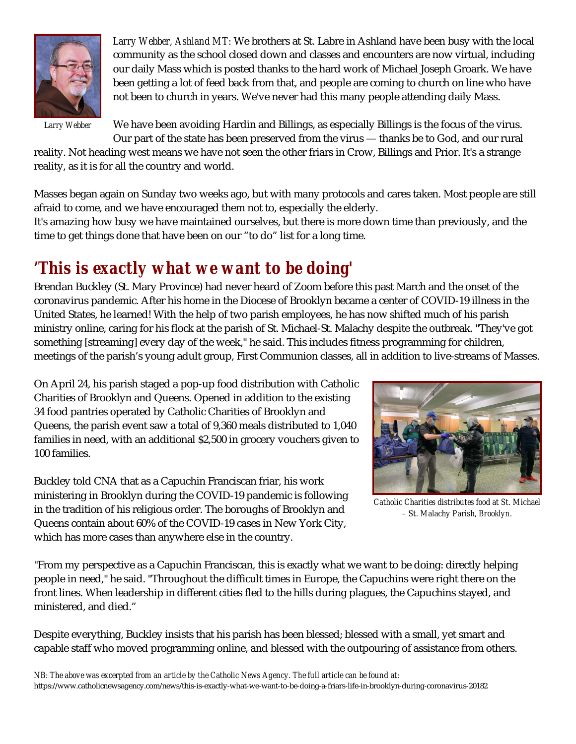

*Larry Webber, Ashland MT:* We brothers at St. Labre in Ashland have been busy with the local community as the school closed down and classes and encounters are now virtual, including our daily Mass which is posted thanks to the hard work of Michael Joseph Groark. We have been getting a lot of feed back from that, and people are coming to church on line who have not been to church in years. We've never had this many people attending daily Mass.

*Larry Webber*

We have been avoiding Hardin and Billings, as especially Billings is the focus of the virus. Our part of the state has been preserved from the virus — thanks be to God, and our rural

reality. Not heading west means we have not seen the other friars in Crow, Billings and Prior. It's a strange reality, as it is for all the country and world.

Masses began again on Sunday two weeks ago, but with many protocols and cares taken. Most people are still afraid to come, and we have encouraged them not to, especially the elderly.

It's amazing how busy we have maintained ourselves, but there is more down time than previously, and the time to get things done that have been on our "to do" list for a long time.

# *'This is exactly what we want to be doing'*

Brendan Buckley (St. Mary Province) had never heard of Zoom before this past March and the onset of the coronavirus pandemic. After his home in the Diocese of Brooklyn became a center of COVID-19 illness in the United States, he learned! With the help of two parish employees, he has now shifted much of his parish ministry online, caring for his flock at the parish of St. Michael-St. Malachy despite the outbreak. "They've got something [streaming] every day of the week," he said. This includes fitness programming for children, meetings of the parish's young adult group, First Communion classes, all in addition to live-streams of Masses.

On April 24, his parish staged a pop-up food distribution with Catholic Charities of Brooklyn and Queens. Opened in addition to the existing 34 food pantries operated by Catholic Charities of Brooklyn and Queens, the parish event saw a total of 9,360 meals distributed to 1,040 families in need, with an additional \$2,500 in grocery vouchers given to 100 families.

Buckley told CNA that as a Capuchin Franciscan friar, his work ministering in Brooklyn during the COVID-19 pandemic is following in the tradition of his religious order. The boroughs of Brooklyn and Queens contain about 60% of the COVID-19 cases in New York City, which has more cases than anywhere else in the country.



*Catholic Charities distributes food at St. Michael – St. Malachy Parish, Brooklyn.*

"From my perspective as a Capuchin Franciscan, this is exactly what we want to be doing: directly helping people in need," he said. "Throughout the difficult times in Europe, the Capuchins were right there on the front lines. When leadership in different cities fled to the hills during plagues, the Capuchins stayed, and ministered, and died."

Despite everything, Buckley insists that his parish has been blessed; blessed with a small, yet smart and capable staff who moved programming online, and blessed with the outpouring of assistance from others.

*NB: The above was excerpted from an article by the Catholic News Agency. The full article can be found at:* https://www.catholicnewsagency.com/news/this-is-exactly-what-we-want-to-be-doing-a-friars-life-in-brooklyn-during-coronavirus-20182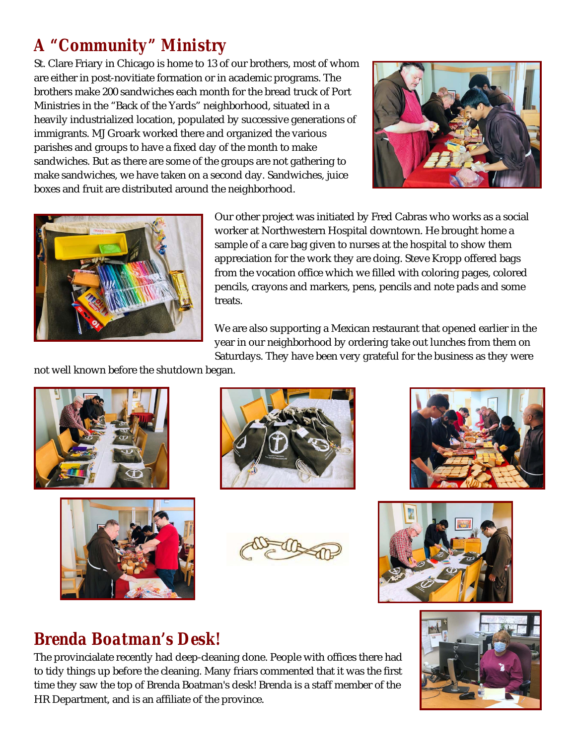# *A "Community" Ministry*

St. Clare Friary in Chicago is home to 13 of our brothers, most of whom are either in post-novitiate formation or in academic programs. The brothers make 200 sandwiches each month for the bread truck of Port Ministries in the "Back of the Yards" neighborhood, situated in a heavily industrialized location, populated by successive generations of immigrants. MJ Groark worked there and organized the various parishes and groups to have a fixed day of the month to make sandwiches. But as there are some of the groups are not gathering to make sandwiches, we have taken on a second day. Sandwiches, juice boxes and fruit are distributed around the neighborhood.





Our other project was initiated by Fred Cabras who works as a social worker at Northwestern Hospital downtown. He brought home a sample of a care bag given to nurses at the hospital to show them appreciation for the work they are doing. Steve Kropp offered bags from the vocation office which we filled with coloring pages, colored pencils, crayons and markers, pens, pencils and note pads and some treats.

We are also supporting a Mexican restaurant that opened earlier in the year in our neighborhood by ordering take out lunches from them on Saturdays. They have been very grateful for the business as they were

not well known before the shutdown began.













## *Brenda Boatman's Desk!*

The provincialate recently had deep-cleaning done. People with offices there had to tidy things up before the cleaning. Many friars commented that it was the first time they saw the top of Brenda Boatman's desk! Brenda is a staff member of the HR Department, and is an affiliate of the province.

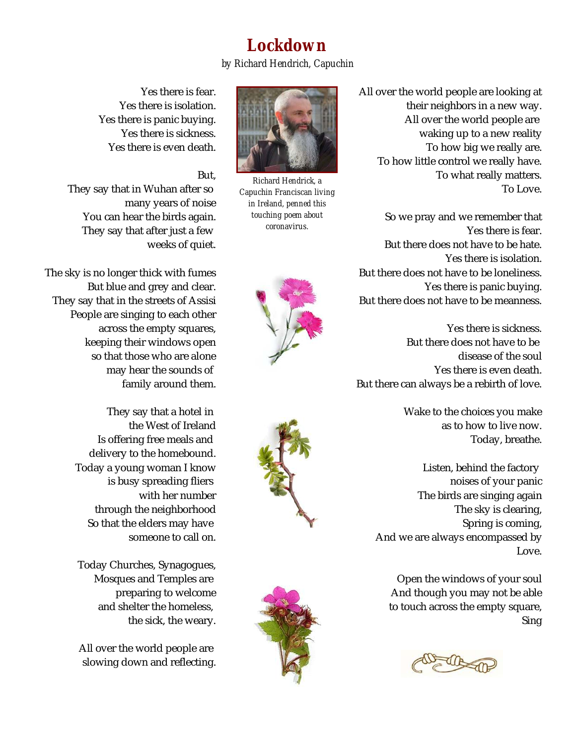# *Lockdown*

*by Richard Hendrich, Capuchin*

Yes there is fear. Yes there is isolation. Yes there is panic buying. Yes there is sickness. Yes there is even death.

## But,

They say that in Wuhan after so many years of noise You can hear the birds again. They say that after just a few weeks of quiet.

The sky is no longer thick with fumes But blue and grey and clear. They say that in the streets of Assisi People are singing to each other across the empty squares, keeping their windows open so that those who are alone may hear the sounds of family around them.

> They say that a hotel in the West of Ireland Is offering free meals and delivery to the homebound. Today a young woman I know is busy spreading fliers with her number through the neighborhood So that the elders may have someone to call on.

Today Churches, Synagogues, Mosques and Temples are preparing to welcome and shelter the homeless, the sick, the weary.

All over the world people are slowing down and reflecting.



*Richard Hendrick, a Capuchin Franciscan living in Ireland, penned this touching poem about coronavirus.*







All over the world people are looking at their neighbors in a new way. All over the world people are waking up to a new reality To how big we really are. To how little control we really have. To what really matters. To Love.

So we pray and we remember that Yes there is fear. But there does not have to be hate. Yes there is isolation. But there does not have to be loneliness. Yes there is panic buying. But there does not have to be meanness.

Yes there is sickness. But there does not have to be disease of the soul Yes there is even death. But there can always be a rebirth of love.

> Wake to the choices you make as to how to live now. Today, breathe.

Listen, behind the factory noises of your panic The birds are singing again The sky is clearing, Spring is coming, And we are always encompassed by Love.

Open the windows of your soul And though you may not be able to touch across the empty square, Sing